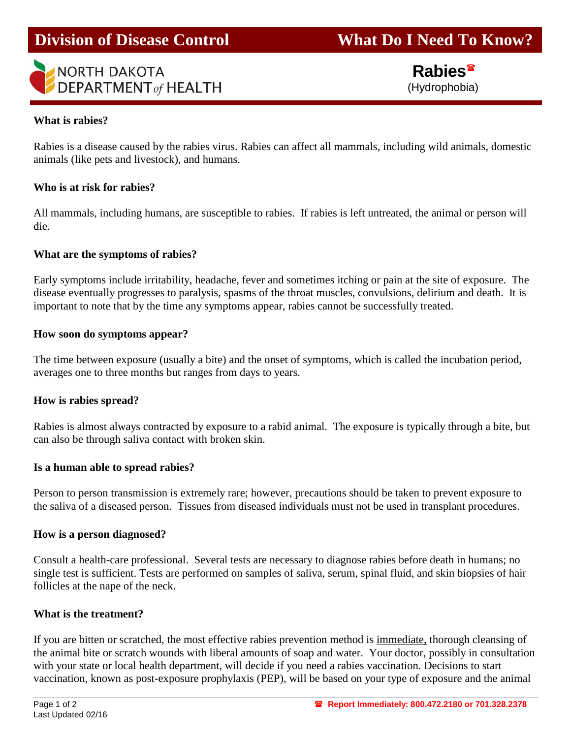# **Division of Disease Control What Do I Need To Know?**

## **NORTH DAKOTA DEPARTMENT of HEALTH**

 **Rabies** (Hydrophobia)

### **What is rabies?**

I

Rabies is a disease caused by the rabies virus. Rabies can affect all mammals, including wild animals, domestic animals (like pets and livestock), and humans.

### **Who is at risk for rabies?**

All mammals, including humans, are susceptible to rabies. If rabies is left untreated, the animal or person will die.

## **What are the symptoms of rabies?**

Early symptoms include irritability, headache, fever and sometimes itching or pain at the site of exposure. The disease eventually progresses to paralysis, spasms of the throat muscles, convulsions, delirium and death. It is important to note that by the time any symptoms appear, rabies cannot be successfully treated.

#### **How soon do symptoms appear?**

The time between exposure (usually a bite) and the onset of symptoms, which is called the incubation period, averages one to three months but ranges from days to years.

#### **How is rabies spread?**

Rabies is almost always contracted by exposure to a rabid animal. The exposure is typically through a bite, but can also be through saliva contact with broken skin.

#### **Is a human able to spread rabies?**

Person to person transmission is extremely rare; however, precautions should be taken to prevent exposure to the saliva of a diseased person. Tissues from diseased individuals must not be used in transplant procedures.

#### **How is a person diagnosed?**

Consult a health-care professional. Several tests are necessary to diagnose rabies before death in humans; no single test is sufficient. Tests are performed on samples of saliva, serum, spinal fluid, and skin biopsies of hair follicles at the nape of the neck.

#### **What is the treatment?**

If you are bitten or scratched, the most effective rabies prevention method is immediate, thorough cleansing of the animal bite or scratch wounds with liberal amounts of soap and water. Your doctor, possibly in consultation with your state or local health department, will decide if you need a rabies vaccination. Decisions to start vaccination, known as post-exposure prophylaxis (PEP), will be based on your type of exposure and the animal